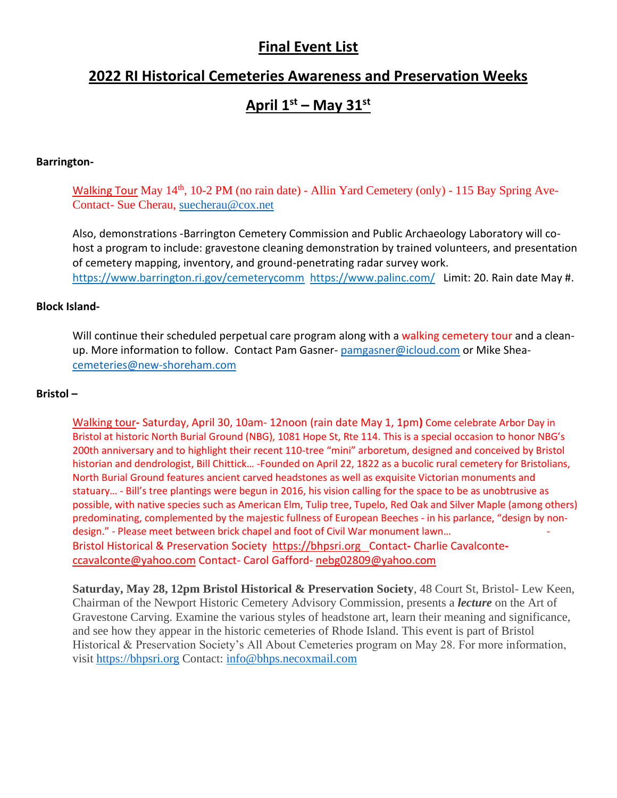# **Final Event List**

# **2022 RI Historical Cemeteries Awareness and Preservation Weeks**

# **April 1st – May 31st**

### **Barrington-**

Walking Tour May  $14<sup>th</sup>$ , 10-2 PM (no rain date) - Allin Yard Cemetery (only) - 115 Bay Spring Ave-Contact- Sue Cherau, [suecherau@cox.net](mailto:suecherau@cox.net)

Also, demonstrations -Barrington Cemetery Commission and Public Archaeology Laboratory will cohost a program to include: gravestone cleaning demonstration by trained volunteers, and presentation of cemetery mapping, inventory, and ground-penetrating radar survey work. <https://www.barrington.ri.gov/cemeterycomm> <https://www.palinc.com/>Limit: 20. Rain date May #.

#### **Block Island-**

Will continue their scheduled perpetual care program along with a walking cemetery tour and a cleanup. More information to follow. Contact Pam Gasner-[pamgasner@icloud.com](mailto:pamgasner@icloud.com) or Mike Shea[cemeteries@new-shoreham.com](mailto:cemeteries@new-shoreham.com)

#### **Bristol –**

Walking tour**-** Saturday, April 30, 10am- 12noon (rain date May 1, 1pm**)** Come celebrate Arbor Day in Bristol at historic North Burial Ground (NBG), 1081 Hope St, Rte 114. This is a special occasion to honor NBG's 200th anniversary and to highlight their recent 110-tree "mini" arboretum, designed and conceived by Bristol historian and dendrologist, Bill Chittick… -Founded on April 22, 1822 as a bucolic rural cemetery for Bristolians, North Burial Ground features ancient carved headstones as well as exquisite Victorian monuments and statuary… - Bill's tree plantings were begun in 2016, his vision calling for the space to be as unobtrusive as possible, with native species such as American Elm, Tulip tree, Tupelo, Red Oak and Silver Maple (among others) predominating, complemented by the majestic fullness of European Beeches - in his parlance, "design by nondesign." - Please meet between brick chapel and foot of Civil War monument lawn... Bristol Historical & Preservation Society [https://bhpsri.org](https://bhpsri.org/) Contact**-** Charlie Cavalconte[ccavalconte@yahoo.com](mailto:ccavalconte@yahoo.com) Contact- Carol Gafford- [nebg02809@yahoo.com](mailto:nebg02809@yahoo.com)

**Saturday, May 28, 12pm Bristol Historical & Preservation Society**, 48 Court St, Bristol- Lew Keen, Chairman of the Newport Historic Cemetery Advisory Commission, presents a *lecture* on the Art of Gravestone Carving. Examine the various styles of headstone art, learn their meaning and significance, and see how they appear in the historic cemeteries of Rhode Island. This event is part of Bristol Historical & Preservation Society's All About Cemeteries program on May 28. For more information, visit [https://bhpsri.org](https://urldefense.com/v3/__https:/bhpsri.org/__;!!KKphUJtCzQ!Ors0GEYWXAfm9kZ7jrklCOjB_d5IgMmIDJkdF680AMefzolUeJT1C3oOIIcAplSObzItqQI_ZRY3ygU3F-jdxLrPLg$) Contact: [info@bhps.necoxmail.com](mailto:info@bhps.necoxmail.com)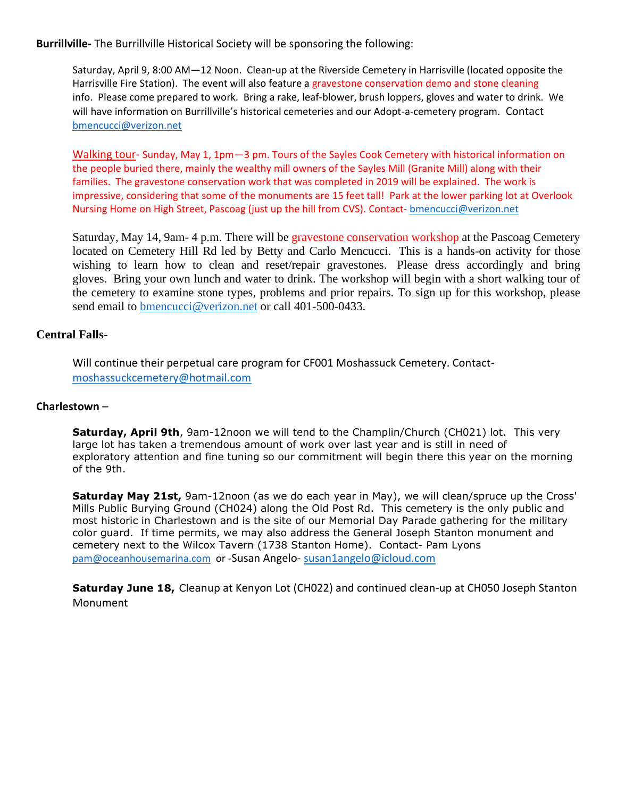**Burrillville-** The Burrillville Historical Society will be sponsoring the following:

Saturday, April 9, 8:00 AM—12 Noon. Clean-up at the Riverside Cemetery in Harrisville (located opposite the Harrisville Fire Station). The event will also feature a gravestone conservation demo and stone cleaning info. Please come prepared to work. Bring a rake, leaf-blower, brush loppers, gloves and water to drink. We will have information on Burrillville's historical cemeteries and our Adopt-a-cemetery program. Contact [bmencucci@verizon.net](mailto:bmencucci@verizon.net)

Walking tour- Sunday, May 1, 1pm—3 pm. Tours of the Sayles Cook Cemetery with historical information on the people buried there, mainly the wealthy mill owners of the Sayles Mill (Granite Mill) along with their families. The gravestone conservation work that was completed in 2019 will be explained. The work is impressive, considering that some of the monuments are 15 feet tall! Park at the lower parking lot at Overlook Nursing Home on High Street, Pascoag (just up the hill from CVS). Contact- [bmencucci@verizon.net](mailto:bmencucci@verizon.net)

Saturday, May 14, 9am- 4 p.m. There will be gravestone conservation workshop at the Pascoag Cemetery located on Cemetery Hill Rd led by Betty and Carlo Mencucci. This is a hands-on activity for those wishing to learn how to clean and reset/repair gravestones. Please dress accordingly and bring gloves. Bring your own lunch and water to drink. The workshop will begin with a short walking tour of the cemetery to examine stone types, problems and prior repairs. To sign up for this workshop, please send email to [bmencucci@verizon.net](mailto:bmencucci@verizon.net) or call 401-500-0433.

# **Central Falls**-

Will continue their perpetual care program for CF001 Moshassuck Cemetery. Contact[moshassuckcemetery@hotmail.com](mailto:moshassuckcemetery@hotmail.com) 

## **Charlestown** –

**Saturday, April 9th**, 9am-12noon we will tend to the Champlin/Church (CH021) lot. This very large lot has taken a tremendous amount of work over last year and is still in need of exploratory attention and fine tuning so our commitment will begin there this year on the morning of the 9th.

**Saturday May 21st,** 9am-12noon (as we do each year in May), we will clean/spruce up the Cross' Mills Public Burying Ground (CH024) along the Old Post Rd. This cemetery is the only public and most historic in Charlestown and is the site of our Memorial Day Parade gathering for the military color guard. If time permits, we may also address the General Joseph Stanton monument and cemetery next to the Wilcox Tavern (1738 Stanton Home). Contact- Pam Lyons [pam@oceanhousemarina.com](mailto:pam@oceanhousemarina.com) or -Susan Angelo- [susan1angelo@icloud.com](mailto:susan1angelo@gmail.com) 

**Saturday June 18,** Cleanup at Kenyon Lot (CH022) and continued clean-up at CH050 Joseph Stanton Monument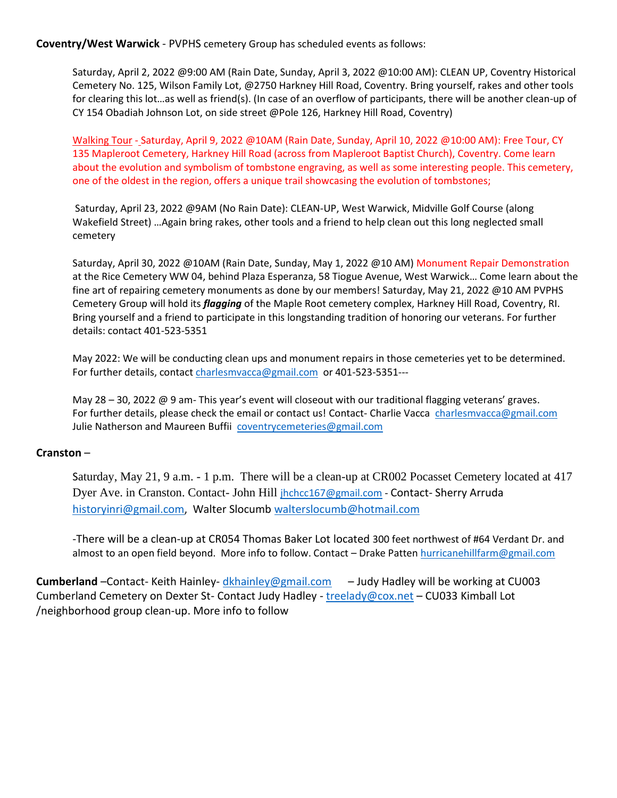**Coventry/West Warwick** - PVPHS cemetery Group has scheduled events as follows:

Saturday, April 2, 2022 @9:00 AM (Rain Date, Sunday, April 3, 2022 @10:00 AM): CLEAN UP, Coventry Historical Cemetery No. 125, Wilson Family Lot, @2750 Harkney Hill Road, Coventry. Bring yourself, rakes and other tools for clearing this lot…as well as friend(s). (In case of an overflow of participants, there will be another clean-up of CY 154 Obadiah Johnson Lot, on side street @Pole 126, Harkney Hill Road, Coventry)

Walking Tour - Saturday, April 9, 2022 @10AM (Rain Date, Sunday, April 10, 2022 @10:00 AM): Free Tour, CY 135 Mapleroot Cemetery, Harkney Hill Road (across from Mapleroot Baptist Church), Coventry. Come learn about the evolution and symbolism of tombstone engraving, as well as some interesting people. This cemetery, one of the oldest in the region, offers a unique trail showcasing the evolution of tombstones;

Saturday, April 23, 2022 @9AM (No Rain Date): CLEAN-UP, West Warwick, Midville Golf Course (along Wakefield Street) …Again bring rakes, other tools and a friend to help clean out this long neglected small cemetery

Saturday, April 30, 2022 @10AM (Rain Date, Sunday, May 1, 2022 @10 AM) Monument Repair Demonstration at the Rice Cemetery WW 04, behind Plaza Esperanza, 58 Tiogue Avenue, West Warwick… Come learn about the fine art of repairing cemetery monuments as done by our members! Saturday, May 21, 2022 @10 AM PVPHS Cemetery Group will hold its *flagging* of the Maple Root cemetery complex, Harkney Hill Road, Coventry, RI. Bring yourself and a friend to participate in this longstanding tradition of honoring our veterans. For further details: contact 401-523-5351

May 2022: We will be conducting clean ups and monument repairs in those cemeteries yet to be determined. For further details, contact [charlesmvacca@gmail.com](mailto:charlesmvacca@gmail.com) or 401-523-5351---

May 28 – 30, 2022 @ 9 am- This year's event will closeout with our traditional flagging veterans' graves. For further details, please check the email or contact us! Contact- Charlie Vacca charlesmvacca@gmail.com Julie Natherson and Maureen Buffii [coventrycemeteries@gmail.com](mailto:coventrycemeteries@gmail.com)

## **Cranston** –

Saturday, May 21, 9 a.m. - 1 p.m. There will be a clean-up at CR002 Pocasset Cemetery located at 417 Dyer Ave. in Cranston. Contact- John Hill [jhchcc167@gmail.com](mailto:jhchcc167@gmail.com) - Contact- Sherry Arruda [historyinri@gmail.com,](mailto:%20historyinri@gmail.com) Walter Slocumb [walterslocumb@hotmail.com](mailto:walterslocumb@hotmail.com)

-There will be a clean-up at CR054 Thomas Baker Lot located 300 feet northwest of #64 Verdant Dr. and almost to an open field beyond. More info to follow. Contact – Drake Patten [hurricanehillfarm@gmail.com](mailto:hurricanehillfarm@gmail.com)

**Cumberland** –Contact- Keith Hainley- [dkhainley@gmail.com](mailto:dkhainley@gmail.com) – Judy Hadley will be working at CU003 Cumberland Cemetery on Dexter St- Contact Judy Hadley - [treelady@cox.net](mailto:treelady@cox.net) - CU033 Kimball Lot /neighborhood group clean-up. More info to follow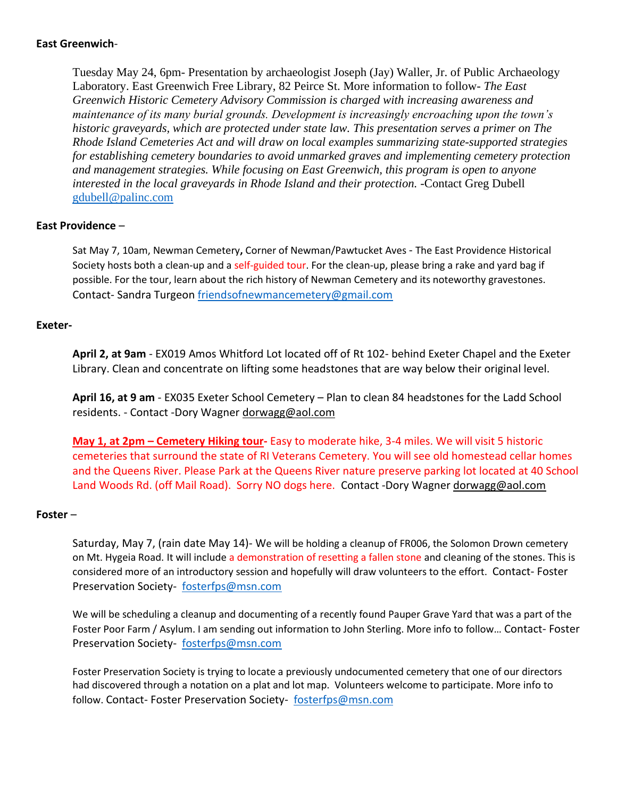## **East Greenwich**-

Tuesday May 24, 6pm- Presentation by archaeologist Joseph (Jay) Waller, Jr. of Public Archaeology Laboratory. East Greenwich Free Library, 82 Peirce St. More information to follow- *The East Greenwich Historic Cemetery Advisory Commission is charged with increasing awareness and maintenance of its many burial grounds. Development is increasingly encroaching upon the town's historic graveyards, which are protected under state law. This presentation serves a primer on The Rhode Island Cemeteries Act and will draw on local examples summarizing state-supported strategies for establishing cemetery boundaries to avoid unmarked graves and implementing cemetery protection and management strategies. While focusing on East Greenwich, this program is open to anyone interested in the local graveyards in Rhode Island and their protection. -*Contact Greg Dubell [gdubell@palinc.com](mailto:gdubell@palinc.com)

## **East Providence** –

Sat May 7, 10am, Newman Cemetery**,** Corner of Newman/Pawtucket Aves - The East Providence Historical Society hosts both a clean-up and a self-guided tour. For the clean-up, please bring a rake and yard bag if possible. For the tour, learn about the rich history of Newman Cemetery and its noteworthy gravestones. Contact- Sandra Turgeon [friendsofnewmancemetery@gmail.com](mailto:friendsofnewmancemetery@gmail.com)

#### **Exeter-**

**April 2, at 9am** - EX019 Amos Whitford Lot located off of Rt 102- behind Exeter Chapel and the Exeter Library. Clean and concentrate on lifting some headstones that are way below their original level.

**April 16, at 9 am** - EX035 Exeter School Cemetery – Plan to clean 84 headstones for the Ladd School residents. - Contact -Dory Wagner [dorwagg@aol.com](mailto:dorwagg@aol.com) 

**May 1, at 2pm – Cemetery Hiking tour-** Easy to moderate hike, 3-4 miles. We will visit 5 historic cemeteries that surround the state of RI Veterans Cemetery. You will see old homestead cellar homes and the Queens River. Please Park at the Queens River nature preserve parking lot located at 40 School Land Woods Rd. (off Mail Road). Sorry NO dogs here. Contact -Dory Wagner dorwagg@aol.com

#### **Foster** –

Saturday, May 7, (rain date May 14)- We will be holding a cleanup of FR006, the Solomon Drown cemetery on Mt. Hygeia Road. It will include a demonstration of resetting a fallen stone and cleaning of the stones. This is considered more of an introductory session and hopefully will draw volunteers to the effort. Contact- Foster Preservation Society- [fosterfps@msn.com](mailto:fosterfps@msn.com)

We will be scheduling a cleanup and documenting of a recently found Pauper Grave Yard that was a part of the Foster Poor Farm / Asylum. I am sending out information to John Sterling. More info to follow… Contact- Foster Preservation Society- [fosterfps@msn.com](mailto:fosterfps@msn.com)

Foster Preservation Society is trying to locate a previously undocumented cemetery that one of our directors had discovered through a notation on a plat and lot map. Volunteers welcome to participate. More info to follow. Contact- Foster Preservation Society- [fosterfps@msn.com](mailto:fosterfps@msn.com)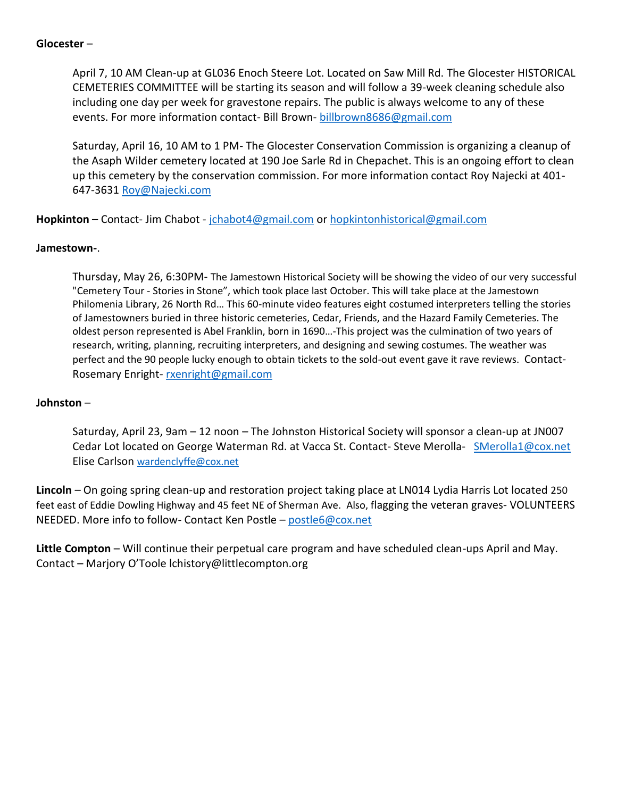## **Glocester** –

April 7, 10 AM Clean-up at GL036 Enoch Steere Lot. Located on Saw Mill Rd. The Glocester HISTORICAL CEMETERIES COMMITTEE will be starting its season and will follow a 39-week cleaning schedule also including one day per week for gravestone repairs. The public is always welcome to any of these events. For more information contact- Bill Brown- [billbrown8686@gmail.com](mailto:billbrown8686@gmail.com)

Saturday, April 16, 10 AM to 1 PM- The Glocester Conservation Commission is organizing a cleanup of the Asaph Wilder cemetery located at 190 Joe Sarle Rd in Chepachet. This is an ongoing effort to clean up this cemetery by the conservation commission. For more information contact Roy Najecki at 401- 647-3631 [Roy@Najecki.com](mailto:Roy@Najecki.com)

**Hopkinton** – Contact- Jim Chabot - [jchabot4@gmail.com](mailto:jchabot4@gmail.com) or [hopkintonhistorical@gmail.com](mailto:hopkintonhistorical@gmail.com)

#### **Jamestown-**.

Thursday, May 26, 6:30PM- The Jamestown Historical Society will be showing the video of our very successful "Cemetery Tour - Stories in Stone", which took place last October. This will take place at the Jamestown Philomenia Library, 26 North Rd… This 60-minute video features eight costumed interpreters telling the stories of Jamestowners buried in three historic cemeteries, Cedar, Friends, and the Hazard Family Cemeteries. The oldest person represented is Abel Franklin, born in 1690…-This project was the culmination of two years of research, writing, planning, recruiting interpreters, and designing and sewing costumes. The weather was perfect and the 90 people lucky enough to obtain tickets to the sold-out event gave it rave reviews. Contact-Rosemary Enright- [rxenright@gmail.com](mailto:rxenright@gmail.com) 

### **Johnston** –

Saturday, April 23, 9am – 12 noon – The Johnston Historical Society will sponsor a clean-up at JN007 Cedar Lot located on George Waterman Rd. at Vacca St. Contact- Steve Merolla- [SMerolla1@cox.net](mailto:SMerolla1@cox.net) Elise Carlson [wardenclyffe@cox.net](mailto:wardenclyffe@cox.net)

**Lincoln** – On going spring clean-up and restoration project taking place at LN014 Lydia Harris Lot located 250 feet east of Eddie Dowling Highway and 45 feet NE of Sherman Ave. Also, flagging the veteran graves- VOLUNTEERS NEEDED. More info to follow- Contact Ken Postle – [postle6@cox.net](mailto:postle6@cox.net)

**Little Compton** – Will continue their perpetual care program and have scheduled clean-ups April and May. Contact – Marjory O'Toole [lchistory@littlecompton.org](mailto:lchistory@littlecompton.org)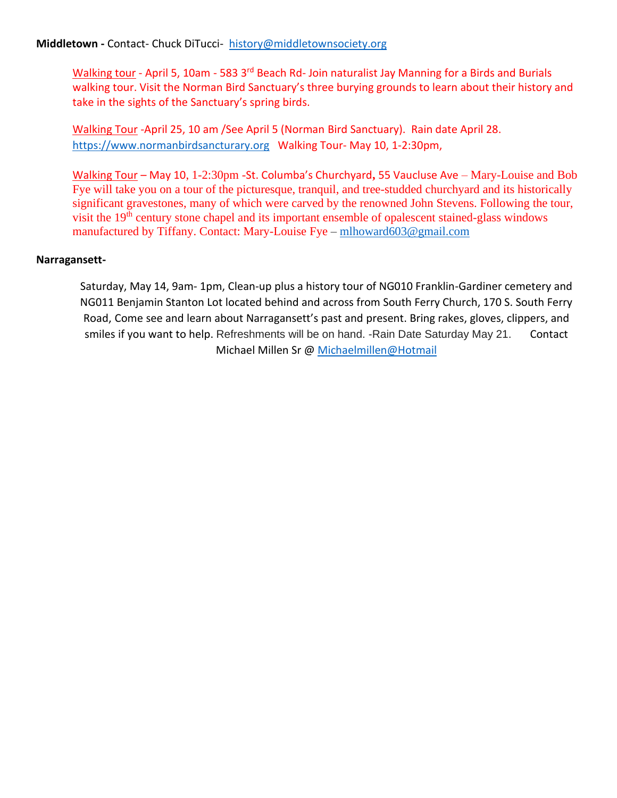# **Middletown -** Contact- Chuck DiTucci- [history@middletownsociety.org](mailto:history@middletownsociety.org)

Walking tour - April 5, 10am - 583 3<sup>rd</sup> Beach Rd- Join naturalist Jay Manning for a Birds and Burials walking tour. Visit the Norman Bird Sanctuary's three burying grounds to learn about their history and take in the sights of the Sanctuary's spring birds.

Walking Tour -April 25, 10 am /See April 5 (Norman Bird Sanctuary). Rain date April 28. [https://www.normanbirdsancturary.org](https://www.normanbirdsancturary.org/) Walking Tour- May 10, 1-2:30pm,

Walking Tour – May 10, 1-2:30pm -St. Columba's Churchyard**,** 55 Vaucluse Ave – Mary-Louise and Bob Fye will take you on a tour of the picturesque, tranquil, and tree-studded churchyard and its historically significant gravestones, many of which were carved by the renowned John Stevens. Following the tour, visit the 19<sup>th</sup> century stone chapel and its important ensemble of opalescent stained-glass windows manufactured by Tiffany. Contact: Mary-Louise Fye – [mlhoward603@gmail.com](mailto:mlhoward603@gmail.com)

## **Narragansett-**

Saturday, May 14, 9am- 1pm, Clean-up plus a history tour of NG010 Franklin-Gardiner cemetery and NG011 Benjamin Stanton Lot located behind and across from South Ferry Church, 170 S. South Ferry Road, Come see and learn about Narragansett's past and present. Bring rakes, gloves, clippers, and smiles if you want to help. Refreshments will be on hand. -Rain Date Saturday May 21. Contact Michael Millen Sr @ [Michaelmillen@Hotmail](mailto:michaelmillen@hotmail.com)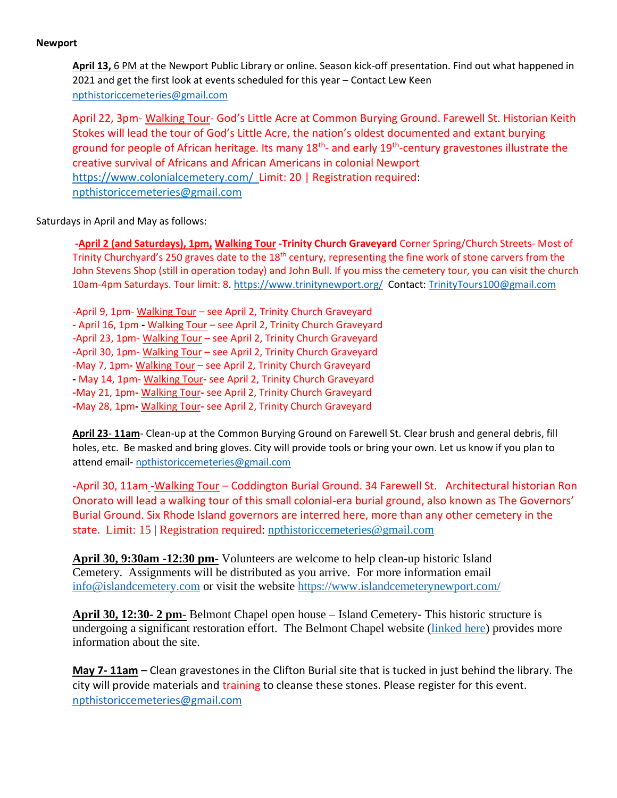#### **Newport**

**April 13,** 6 PM at the Newport Public Library or online. Season kick-off presentation. Find out what happened in 2021 and get the first look at events scheduled for this year – Contact Lew Keen [npthistoriccemeteries@gmail.com](mailto:npthistoriccemeteries@gmail.com)

April 22, 3pm- Walking Tour- God's Little Acre at Common Burying Ground. Farewell St. Historian Keith Stokes will lead the tour of God's Little Acre, the nation's oldest documented and extant burying ground for people of African heritage. Its many 18<sup>th</sup>- and early 19<sup>th</sup>-century gravestones illustrate the creative survival of Africans and African Americans in colonial Newport <https://www.colonialcemetery.com/>Limit: 20 | Registration required: [npthistoriccemeteries@gmail.com](mailto:npthistoriccemeteries@gmail.com)

#### Saturdays in April and May as follows:

**-April 2 (and Saturdays), 1pm, Walking Tour -Trinity Church Graveyard** Corner Spring/Church Streets- Most of Trinity Churchyard's 250 graves date to the 18<sup>th</sup> century, representing the fine work of stone carvers from the John Stevens Shop (still in operation today) and John Bull. If you miss the cemetery tour, you can visit the church 10am-4pm Saturdays. Tour limit: 8.<https://www.trinitynewport.org/> Contact: [TrinityTours100@gmail.com](mailto:TrinityTours100@gmail.com) 

-April 9, 1pm- Walking Tour – see April 2, Trinity Church Graveyard **-** April 16, 1pm **-** Walking Tour – see April 2, Trinity Church Graveyard -April 23, 1pm- Walking Tour – see April 2, Trinity Church Graveyard -April 30, 1pm- Walking Tour – see April 2, Trinity Church Graveyard -May 7, 1pm**-** Walking Tour – see April 2, Trinity Church Graveyard **-** May 14, 1pm- Walking Tour**-** see April 2, Trinity Church Graveyard **-**May 21, 1pm**-** Walking Tour**-** see April 2, Trinity Church Graveyard **-**May 28, 1pm**-** Walking Tour**-** see April 2, Trinity Church Graveyard

**April 23**- **11am**- Clean-up at the Common Burying Ground on Farewell St. Clear brush and general debris, fill holes, etc. Be masked and bring gloves. City will provide tools or bring your own. Let us know if you plan to attend email- [npthistoriccemeteries@gmail.com](mailto:npthistoriccemeteries@gmail.com)

-April 30, 11am -Walking Tour – Coddington Burial Ground. 34 Farewell St. Architectural historian Ron Onorato will lead a walking tour of this small colonial-era burial ground, also known as The Governors' Burial Ground. Six Rhode Island governors are interred here, more than any other cemetery in the state. Limit: 15 | Registration required: [npthistoriccemeteries@gmail.com](mailto:npthistoriccemeteries@gmail.com)

**April 30, 9:30am -12:30 pm-** Volunteers are welcome to help clean-up historic Island Cemetery. Assignments will be distributed as you arrive. For more information email [info@islandcemetery.com](mailto:info@islandcemetery.com) or visit the website <https://www.islandcemeterynewport.com/>

**April 30, 12:30- 2 pm**- Belmont Chapel open house – Island Cemetery- This historic structure is undergoing a significant restoration effort. The Belmont Chapel website [\(linked here\)](https://belmontchapelfoundation.org/) provides more information about the site.

**May 7- 11am** – Clean gravestones in the Clifton Burial site that is tucked in just behind the library. The city will provide materials and training to cleanse these stones. Please register for this event. [npthistoriccemeteries@gmail.com](mailto:npthistoriccemeteries@gmail.com)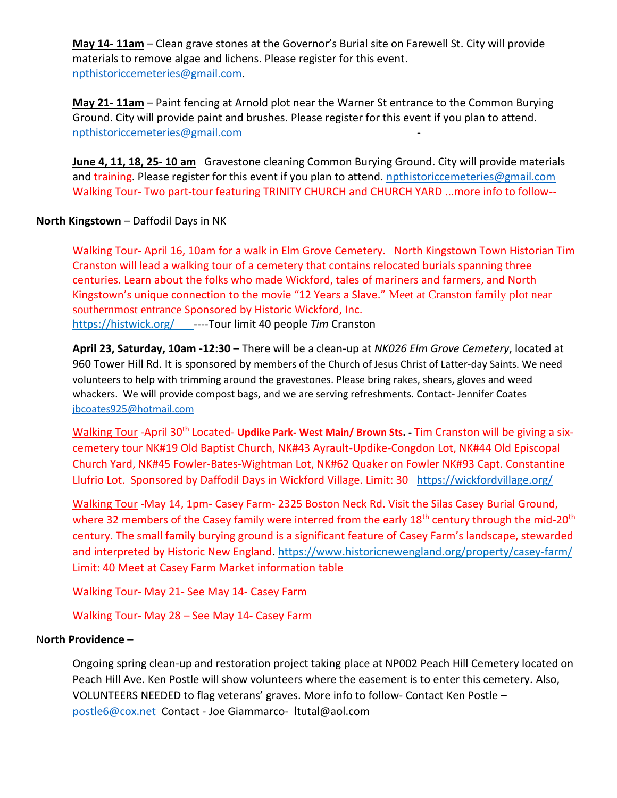**May 14**- **11am** – Clean grave stones at the Governor's Burial site on Farewell St. City will provide materials to remove algae and lichens. Please register for this event. [npthistoriccemeteries@gmail.com.](mailto:npthistoriccemeteries@gmail.com)

**May 21- 11am** – Paint fencing at Arnold plot near the Warner St entrance to the Common Burying Ground. City will provide paint and brushes. Please register for this event if you plan to attend. [npthistoriccemeteries@gmail.com](mailto:npthistoriccemeteries@gmail.com) -

**June 4, 11, 18, 25- 10 am** Gravestone cleaning Common Burying Ground. City will provide materials and training. Please register for this event if you plan to attend. [npthistoriccemeteries@gmail.com](mailto:npthistoriccemeteries@gmail.com) Walking Tour- Two part-tour featuring TRINITY CHURCH and CHURCH YARD ...more info to follow--

# **North Kingstown** – Daffodil Days in NK

Walking Tour- April 16, 10am for a walk in Elm Grove Cemetery. North Kingstown Town Historian Tim Cranston will lead a walking tour of a cemetery that contains relocated burials spanning three centuries. Learn about the folks who made Wickford, tales of mariners and farmers, and North Kingstown's unique connection to the movie "12 Years a Slave." Meet at Cranston family plot near southernmost entrance Sponsored by Historic Wickford, Inc. <https://histwick.org/>----Tour limit 40 people *Tim* Cranston

**April 23, Saturday, 10am -12:30** – There will be a clean-up at *NK026 Elm Grove Cemetery*, located at 960 Tower Hill Rd. It is sponsored by members of the Church of Jesus Christ of Latter-day Saints. We need volunteers to help with trimming around the gravestones. Please bring rakes, shears, gloves and weed whackers. We will provide compost bags, and we are serving refreshments. Contact- Jennifer Coates [jbcoates925@hotmail.com](mailto:jbcoates925@hotmail.com)

Walking Tour -April 30<sup>th</sup> Located- Updike Park- West Main/ Brown Sts. - Tim Cranston will be giving a sixcemetery tour NK#19 Old Baptist Church, NK#43 Ayrault-Updike-Congdon Lot, NK#44 Old Episcopal Church Yard, NK#45 Fowler-Bates-Wightman Lot, NK#62 Quaker on Fowler NK#93 Capt. Constantine Llufrio Lot. Sponsored by Daffodil Days in Wickford Village. Limit: 30 <https://wickfordvillage.org/>

Walking Tour -May 14, 1pm- Casey Farm- 2325 Boston Neck Rd. Visit the Silas Casey Burial Ground, where 32 members of the Casey family were interred from the early 18<sup>th</sup> century through the mid-20<sup>th</sup> century. The small family burying ground is a significant feature of Casey Farm's landscape, stewarded and interpreted by Historic New England.<https://www.historicnewengland.org/property/casey-farm/> Limit: 40 Meet at Casey Farm Market information table

Walking Tour- May 21- See May 14- Casey Farm

Walking Tour- May 28 – See May 14- Casey Farm

## N**orth Providence** –

Ongoing spring clean-up and restoration project taking place at NP002 Peach Hill Cemetery located on Peach Hill Ave. Ken Postle will show volunteers where the easement is to enter this cemetery. Also, VOLUNTEERS NEEDED to flag veterans' graves. More info to follow- Contact Ken Postle – [postle6@cox.net](mailto:postle6@cox.net) Contact - Joe Giammarco- [ltutal@aol.com](mailto:ltutal@aol.com)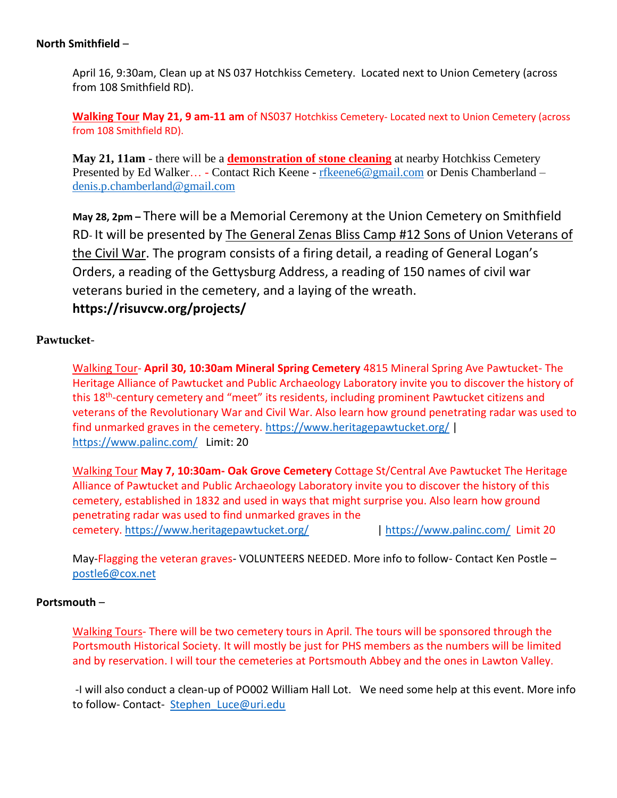## **North Smithfield** –

April 16, 9:30am, Clean up at NS 037 Hotchkiss Cemetery. Located next to Union Cemetery (across from 108 Smithfield RD).

**Walking Tour May 21, 9 am-11 am** of NS037 Hotchkiss Cemetery- Located next to Union Cemetery (across from 108 Smithfield RD).

**May 21, 11am** - there will be a **demonstration of stone cleaning** at nearby Hotchkiss Cemetery Presented by Ed Walker… - Contact Rich Keene - [rfkeene6@gmail.com](mailto:rfkeene6@gmail.com) or Denis Chamberland – [denis.p.chamberland@gmail.com](mailto:denis.p.chamberland@gmail.com)

**May 28, 2pm –** There will be a Memorial Ceremony at the Union Cemetery on Smithfield RD- It will be presented by The General Zenas Bliss Camp #12 Sons of Union Veterans of the Civil War. The program consists of a firing detail, a reading of General Logan's Orders, a reading of the Gettysburg Address, a reading of 150 names of civil war veterans buried in the cemetery, and a laying of the wreath.

# **https://risuvcw.org/projects/**

# **Pawtucket**-

Walking Tour- **April 30, 10:30am Mineral Spring Cemetery** 4815 Mineral Spring Ave Pawtucket- The Heritage Alliance of Pawtucket and Public Archaeology Laboratory invite you to discover the history of this 18<sup>th</sup>-century cemetery and "meet" its residents, including prominent Pawtucket citizens and veterans of the Revolutionary War and Civil War. Also learn how ground penetrating radar was used to find unmarked graves in the cemetery. <https://www.heritagepawtucket.org/> | <https://www.palinc.com/>Limit: 20

Walking Tour **May 7, 10:30am- Oak Grove Cemetery** Cottage St/Central Ave Pawtucket The Heritage Alliance of Pawtucket and Public Archaeology Laboratory invite you to discover the history of this cemetery, established in 1832 and used in ways that might surprise you. Also learn how ground penetrating radar was used to find unmarked graves in the cemetery. <https://www.heritagepawtucket.org/> |<https://www.palinc.com/>Limit 20

May-Flagging the veteran graves-VOLUNTEERS NEEDED. More info to follow- Contact Ken Postle – [postle6@cox.net](mailto:postle6@cox.net)

# **Portsmouth** –

Walking Tours- There will be two cemetery tours in April. The tours will be sponsored through the Portsmouth Historical Society. It will mostly be just for PHS members as the numbers will be limited and by reservation. I will tour the cemeteries at Portsmouth Abbey and the ones in Lawton Valley.

-I will also conduct a clean-up of PO002 William Hall Lot. We need some help at this event. More info to follow- Contact- Stephen Luce@uri.edu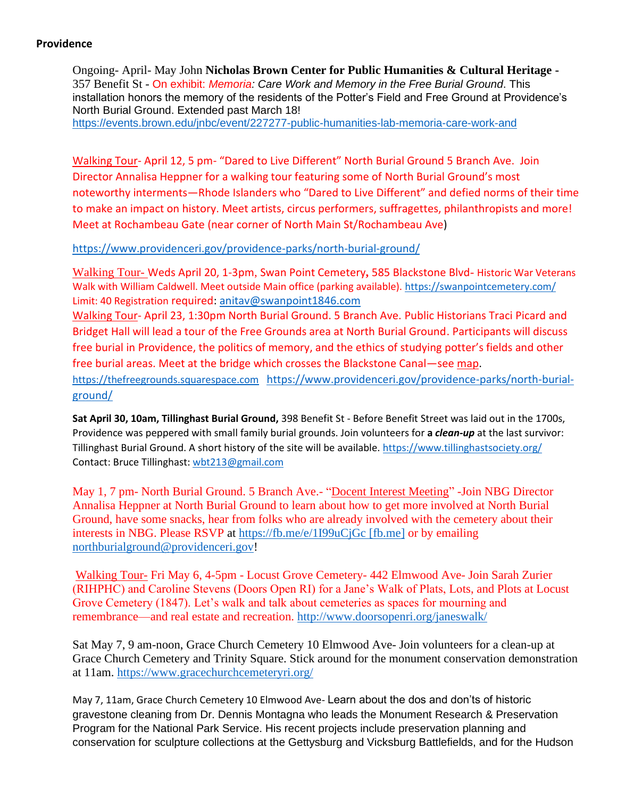## **Providence**

Ongoing- April- May John **Nicholas Brown Center for Public Humanities & Cultural Heritage -**  357 Benefit St - On exhibit: *Memoria: Care Work and Memory in the Free Burial Ground*. This installation honors the memory of the residents of the Potter's Field and Free Ground at Providence's North Burial Ground. Extended past March 18! <https://events.brown.edu/jnbc/event/227277-public-humanities-lab-memoria-care-work-and>

Walking Tour- April 12, 5 pm- "Dared to Live Different" North Burial Ground 5 Branch Ave. Join Director Annalisa Heppner for a walking tour featuring some of North Burial Ground's most noteworthy interments—Rhode Islanders who "Dared to Live Different" and defied norms of their time to make an impact on history. Meet artists, circus performers, suffragettes, philanthropists and more! Meet at Rochambeau Gate (near corner of North Main St/Rochambeau Ave)

<https://www.providenceri.gov/providence-parks/north-burial-ground/>

Walking Tour- Weds April 20, 1-3pm, Swan Point Cemetery**,** 585 Blackstone Blvd- Historic War Veterans Walk with William Caldwell. Meet outside Main office (parking available).<https://swanpointcemetery.com/> Limit: 40 Registration required: [anitav@swanpoint1846.com](mailto:anitav@swanpoint1846.com)

Walking Tour- April 23, 1:30pm North Burial Ground. 5 Branch Ave. Public Historians Traci Picard and Bridget Hall will lead a tour of the Free Grounds area at North Burial Ground. Participants will discuss free burial in Providence, the politics of memory, and the ethics of studying potter's fields and other free burial areas. Meet at the bridge which crosses the Blackstone Canal—see [map.](https://www.google.com/maps/d/edit?mid=13mM1l-FIDN2qlk02yoB7Hnbmu8MTg6M6&usp=sharing) [https://thefreegrounds.squarespace.com](https://thefreegrounds.squarespace.com/) [https://www.providenceri.gov/providence-parks/north-burial](https://www.providenceri.gov/providence-parks/north-burial-ground/)[ground/](https://www.providenceri.gov/providence-parks/north-burial-ground/) 

**Sat April 30, 10am, Tillinghast Burial Ground,** 398 Benefit St - Before Benefit Street was laid out in the 1700s, Providence was peppered with small family burial grounds. Join volunteers for **a** *clean-up* at the last survivor: Tillinghast Burial Ground. A short history of the site will be available[. https://www.tillinghastsociety.org/](https://www.tillinghastsociety.org/)  Contact: Bruce Tillinghast: [wbt213@gmail.com](mailto:wbt213@gmail.com)

May 1, 7 pm- North Burial Ground. 5 Branch Ave.- "Docent Interest Meeting" -Join NBG Director Annalisa Heppner at North Burial Ground to learn about how to get more involved at North Burial Ground, have some snacks, hear from folks who are already involved with the cemetery about their interests in NBG. Please RSVP at [https://fb.me/e/1I99uCjGc \[fb.me\]](https://urldefense.com/v3/__https:/fb.me/e/1I99uCjGc__;!!KKphUJtCzQ!JXP_1xjTTqzda3UM7Cmd6lsXWR-wHR8PFAwuXsTeF-T1aeEjYi0nt7ZtNSYIMTbxyaDdzPu3H2VVEtcU_rgvnHMxCZ31KuRzEKbe$) or by emailing [northburialground@providenceri.gov!](mailto:northburialground@providenceri.gov)

Walking Tour- Fri May 6, 4-5pm - Locust Grove Cemetery- 442 Elmwood Ave- Join Sarah Zurier (RIHPHC) and Caroline Stevens (Doors Open RI) for a Jane's Walk of Plats, Lots, and Plots at Locust Grove Cemetery (1847). Let's walk and talk about cemeteries as spaces for mourning and remembrance—and real estate and recreation.<http://www.doorsopenri.org/janeswalk/>

Sat May 7, 9 am-noon, Grace Church Cemetery 10 Elmwood Ave- Join volunteers for a clean-up at Grace Church Cemetery and Trinity Square. Stick around for the monument conservation demonstration at 11am.<https://www.gracechurchcemeteryri.org/>

May 7, 11am, Grace Church Cemetery 10 Elmwood Ave- Learn about the dos and don'ts of historic gravestone cleaning from Dr. Dennis Montagna who leads the Monument Research & Preservation Program for the National Park Service. His recent projects include preservation planning and conservation for sculpture collections at the Gettysburg and Vicksburg Battlefields, and for the Hudson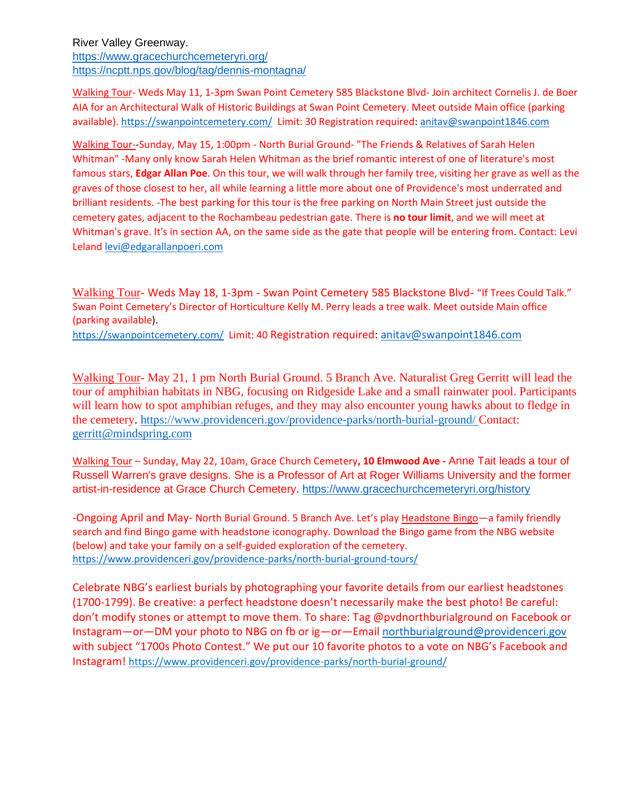River Valley Greenway. <https://www.gracechurchcemeteryri.org/> [https://ncptt.nps.gov/blog/tag/dennis-montagna/](https://urldefense.com/v3/__https:/ncptt.nps.gov/blog/tag/dennis-montagna/__;!!KKphUJtCzQ!cyGTUFaycLQXOvgU5FmouLCqgJHfJ7fLzge8MqpYhF3ujlVGFOVx4RjbrECHDRuimT3hkcmQVFE$)

Walking Tour- Weds May 11, 1-3pm Swan Point Cemetery 585 Blackstone Blvd- Join architect Cornelis J. de Boer AIA for an Architectural Walk of Historic Buildings at Swan Point Cemetery. Meet outside Main office (parking available). <https://swanpointcemetery.com/>Limit: 30 Registration required: anitav@swanpoint1846.com

Walking Tour--Sunday, May 15, 1:00pm - North Burial Ground- "The Friends & Relatives of Sarah Helen Whitman" -Many only know Sarah Helen Whitman as the brief romantic interest of one of literature's most famous stars, **Edgar Allan Poe**. On this tour, we will walk through her family tree, visiting her grave as well as the graves of those closest to her, all while learning a little more about one of Providence's most underrated and brilliant residents. -The best parking for this tour is the free parking on North Main Street just outside the cemetery gates, adjacent to the Rochambeau pedestrian gate. There is **no tour limit**, and we will meet at Whitman's grave. It's in section AA, on the same side as the gate that people will be entering from. Contact: Levi Leland [levi@edgarallanpoeri.com](mailto:levi@edgarallanpoeri.com)

Walking Tour- Weds May 18, 1-3pm - Swan Point Cemetery 585 Blackstone Blvd- "If Trees Could Talk." Swan Point Cemetery's Director of Horticulture Kelly M. Perry leads a tree walk. Meet outside Main office (parking available).

<https://swanpointcemetery.com/>Limit: 40 Registration required: [anitav@swanpoint1846.com](mailto:anitav@swanpoint1846.com)

Walking Tour- May 21, 1 pm North Burial Ground. 5 Branch Ave. Naturalist Greg Gerritt will lead the tour of amphibian habitats in NBG, focusing on Ridgeside Lake and a small rainwater pool. Participants will learn how to spot amphibian refuges, and they may also encounter young hawks about to fledge in the cemetery.<https://www.providenceri.gov/providence-parks/north-burial-ground/> Contact: [gerritt@mindspring.com](mailto:gerritt@mindspring.com) 

Walking Tour – Sunday, May 22, 10am, Grace Church Cemetery**, 10 Elmwood Ave -** Anne Tait leads a tour of Russell Warren's grave designs. She is a Professor of Art at Roger Williams University and the former artist-in-residence at Grace Church Cemetery. [https://www.gracechurchcemeteryri.org/history](https://urldefense.com/v3/__https:/www.gracechurchcemeteryri.org/history__;!!KKphUJtCzQ!cyGTUFaycLQXOvgU5FmouLCqgJHfJ7fLzge8MqpYhF3ujlVGFOVx4RjbrECHDRuimT3hNOZlwto$)

-Ongoing April and May- North Burial Ground. 5 Branch Ave. Let's play Headstone Bingo—a family friendly search and find Bingo game with headstone iconography. Download the Bingo game from the NBG website (below) and take your family on a self-guided exploration of the cemetery. <https://www.providenceri.gov/providence-parks/north-burial-ground-tours/>

Celebrate NBG's earliest burials by photographing your favorite details from our earliest headstones (1700-1799). Be creative: a perfect headstone doesn't necessarily make the best photo! Be careful: don't modify stones or attempt to move them. To share: Tag @pvdnorthburialground on Facebook or Instagram—or—DM your photo to NBG on fb or ig—or—Email [northburialground@providenceri.gov](mailto:northburialground@providenceri.gov) with subject "1700s Photo Contest." We put our 10 favorite photos to a vote on NBG's Facebook and Instagram! <https://www.providenceri.gov/providence-parks/north-burial-ground/>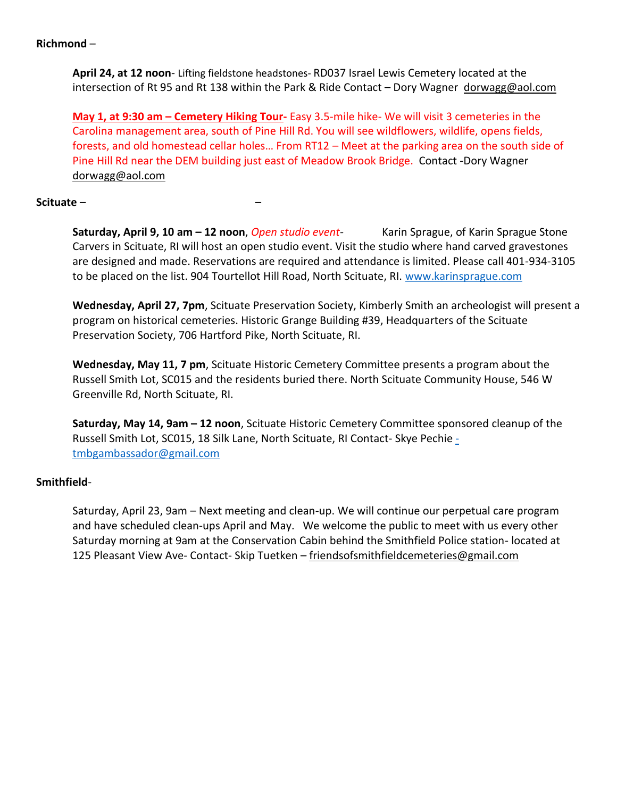## **Richmond** –

**April 24, at 12 noon**- Lifting fieldstone headstones- RD037 Israel Lewis Cemetery located at the intersection of Rt 95 and Rt 138 within the Park & Ride Contact – Dory Wagner [dorwagg@aol.com](mailto:dorwagg@aol.com)

**May 1, at 9:30 am – Cemetery Hiking Tour-** Easy 3.5-mile hike- We will visit 3 cemeteries in the Carolina management area, south of Pine Hill Rd. You will see wildflowers, wildlife, opens fields, forests, and old homestead cellar holes… From RT12 – Meet at the parking area on the south side of Pine Hill Rd near the DEM building just east of Meadow Brook Bridge. Contact -Dory Wagner [dorwagg@aol.com](mailto:dorwagg@aol.com) 

# **Scituate** – –

**Saturday, April 9, 10 am – 12 noon**, *Open studio event-* Karin Sprague, of Karin Sprague Stone Carvers in Scituate, RI will host an open studio event. Visit the studio where hand carved gravestones are designed and made. Reservations are required and attendance is limited. Please call 401-934-3105 to be placed on the list. 904 Tourtellot Hill Road, North Scituate, RI. [www.karinsprague.com](http://www.karinsprague.com/)

**Wednesday, April 27, 7pm**, Scituate Preservation Society, Kimberly Smith an archeologist will present a program on historical cemeteries. Historic Grange Building #39, Headquarters of the Scituate Preservation Society, 706 Hartford Pike, North Scituate, RI.

**Wednesday, May 11, 7 pm**, Scituate Historic Cemetery Committee presents a program about the Russell Smith Lot, SC015 and the residents buried there. North Scituate Community House, 546 W Greenville Rd, North Scituate, RI.

**Saturday, May 14, 9am – 12 noon**, Scituate Historic Cemetery Committee sponsored cleanup of the Russell Smith Lot, SC015, 18 Silk Lane, North Scituate, RI Contact- Skye Pechie [tmbgambassador@gmail.com](mailto:-tmbgambassador@gmail.com)

# **Smithfield**-

Saturday, April 23, 9am – Next meeting and clean-up. We will continue our perpetual care program and have scheduled clean-ups April and May. We welcome the public to meet with us every other Saturday morning at 9am at the Conservation Cabin behind the Smithfield Police station- located at 125 Pleasant View Ave- Contact- Skip Tuetken – [friendsofsmithfieldcemeteries@gmail.com](mailto:friendsofsmithfieldcemeteries@gmail.com)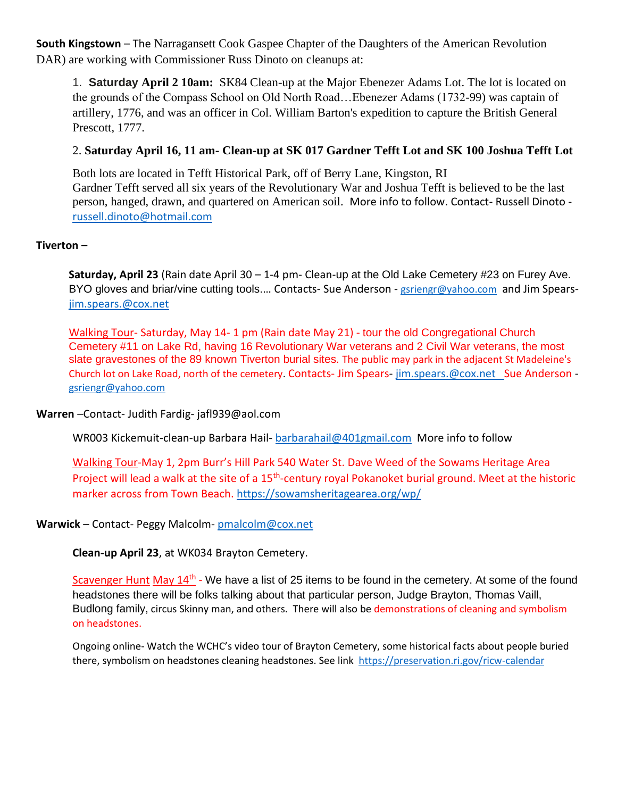**South Kingstown** – The Narragansett Cook Gaspee Chapter of the Daughters of the American Revolution DAR) are working with Commissioner Russ Dinoto on cleanups at:

1. **Saturday April 2 10am:** SK84 Clean-up at the Major Ebenezer Adams Lot. The lot is located on the grounds of the Compass School on Old North Road…Ebenezer Adams (1732-99) was captain of artillery, 1776, and was an officer in Col. William Barton's expedition to capture the British General Prescott, 1777.

# 2. **Saturday April 16, 11 am- Clean-up at SK 017 Gardner Tefft Lot and SK 100 Joshua Tefft Lot**

Both lots are located in Tefft Historical Park, off of Berry Lane, Kingston, RI Gardner Tefft served all six years of the Revolutionary War and Joshua Tefft is believed to be the last person, hanged, drawn, and quartered on American soil. More info to follow. Contact- Russell Dinoto [russell.dinoto@hotmail.com](mailto:russell.dinoto@hotmail.com)

# **Tiverton** –

**Saturday, April 23** (Rain date April 30 – 1-4 pm- Clean-up at the Old Lake Cemetery #23 on Furey Ave. BYO gloves and briar/vine cutting tools.... Contacts- Sue Anderson - [gsriengr@yahoo.com](mailto:gsriengr@yahoo.com) and Jim Spears[jim.spears.@cox.net](mailto:jim.spears.@cox.net)

Walking Tour- Saturday, May 14- 1 pm (Rain date May 21) - tour the old Congregational Church Cemetery #11 on Lake Rd, having 16 Revolutionary War veterans and 2 Civil War veterans, the most slate gravestones of the 89 known Tiverton burial sites. The public may park in the adjacent St Madeleine's Church lot on Lake Road, north of the cemetery. Contacts- Jim Spears- [jim.spears.@cox.net](mailto:jim.spears.@cox.net) Sue Anderson [gsriengr@yahoo.com](mailto:gsriengr@yahoo.com)

**Warren** –Contact- Judith Fardig- [jafl939@aol.com](mailto:jafl939@aol.com)

WR003 Kickemuit-clean-up Barbara Hail- [barbarahail@401gmail.com](mailto:barbarahail@401gmail.com) More info to follow

Walking Tour-May 1, 2pm Burr's Hill Park 540 Water St. Dave Weed of the Sowams Heritage Area Project will lead a walk at the site of a 15<sup>th</sup>-century royal Pokanoket burial ground. Meet at the historic marker across from Town Beach.<https://sowamsheritagearea.org/wp/>

## **Warwick** – Contact- Peggy Malcolm- [pmalcolm@cox.net](mailto:pmalcolm@cox.net)

**Clean-up April 23**, at WK034 Brayton Cemetery.

Scavenger Hunt May 14<sup>th</sup> - We have a list of 25 items to be found in the cemetery. At some of the found headstones there will be folks talking about that particular person, Judge Brayton, Thomas Vaill, Budlong family, circus Skinny man, and others. There will also be demonstrations of cleaning and symbolism on headstones.

Ongoing online- Watch the WCHC's video tour of Brayton Cemetery, some historical facts about people buried there, symbolism on headstones cleaning headstones. See link <https://preservation.ri.gov/ricw-calendar>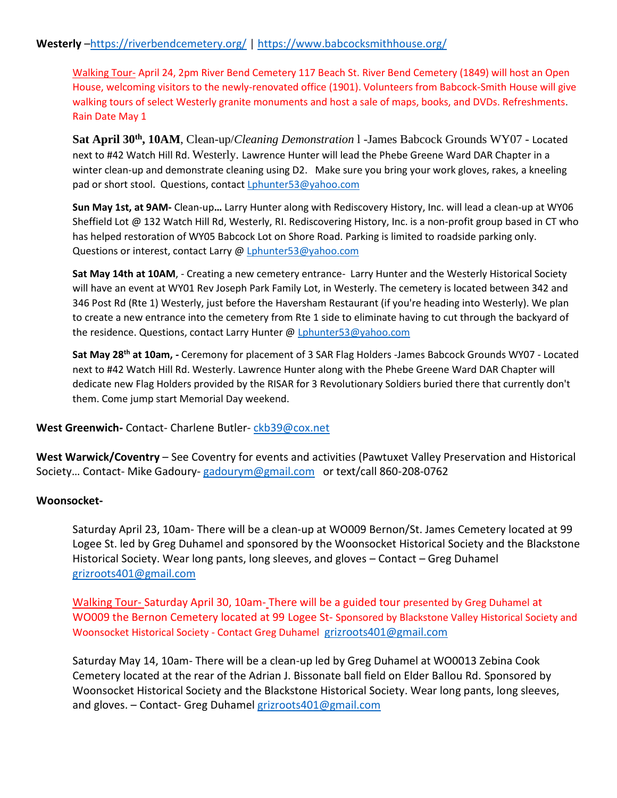# **Westerly** –<https://riverbendcemetery.org/> [| https://www.babcocksmithhouse.org/](https://www.babcocksmithhouse.org/)

Walking Tour- April 24, 2pm River Bend Cemetery 117 Beach St. River Bend Cemetery (1849) will host an Open House, welcoming visitors to the newly-renovated office (1901). Volunteers from Babcock-Smith House will give walking tours of select Westerly granite monuments and host a sale of maps, books, and DVDs. Refreshments. Rain Date May 1

**Sat April 30th, 10AM**, Clean-up/*Cleaning Demonstration* l -James Babcock Grounds WY07 - Located next to #42 Watch Hill Rd. Westerly. Lawrence Hunter will lead the Phebe Greene Ward DAR Chapter in a winter clean-up and demonstrate cleaning using D2. Make sure you bring your work gloves, rakes, a kneeling pad or short stool. Questions, contact *Lphunter53@yahoo.com* 

**Sun May 1st, at 9AM-** Clean-up**…** Larry Hunter along with Rediscovery History, Inc. will lead a clean-up at WY06 Sheffield Lot @ 132 Watch Hill Rd, Westerly, RI. Rediscovering History, Inc. is a non-profit group based in CT who has helped restoration of WY05 Babcock Lot on Shore Road. Parking is limited to roadside parking only. Questions or interest, contact Larry @ [Lphunter53@yahoo.com](mailto:Lphunter53@yahoo.com)

**Sat May 14th at 10AM**, - Creating a new cemetery entrance- Larry Hunter and the Westerly Historical Society will have an event at WY01 Rev Joseph Park Family Lot, in Westerly. The cemetery is located between 342 and 346 Post Rd (Rte 1) Westerly, just before the Haversham Restaurant (if you're heading into Westerly). We plan to create a new entrance into the cemetery from Rte 1 side to eliminate having to cut through the backyard of the residence. Questions, contact Larry Hunter [@ Lphunter53@yahoo.com](mailto:Lphunter53@yahoo.com)

**Sat May 28th at 10am, -** Ceremony for placement of 3 SAR Flag Holders -James Babcock Grounds WY07 - Located next to #42 Watch Hill Rd. Westerly. Lawrence Hunter along with the Phebe Greene Ward DAR Chapter will dedicate new Flag Holders provided by the RISAR for 3 Revolutionary Soldiers buried there that currently don't them. Come jump start Memorial Day weekend.

**West Greenwich-** Contact- Charlene Butler- [ckb39@cox.net](mailto:ckb39@cox.net)

**West Warwick/Coventry** – See Coventry for events and activities (Pawtuxet Valley Preservation and Historical Society… Contact- Mike Gadoury- [gadourym@gmail.com](mailto:gadourym@gmail.com) or text/call 860-208-0762

## **Woonsocket-**

Saturday April 23, 10am- There will be a clean-up at WO009 Bernon/St. James Cemetery located at 99 Logee St. led by Greg Duhamel and sponsored by the Woonsocket Historical Society and the Blackstone Historical Society. Wear long pants, long sleeves, and gloves – Contact – Greg Duhamel grizroots401@gmail.com

Walking Tour- Saturday April 30, 10am- There will be a guided tour presented by Greg Duhamel at WO009 the Bernon Cemetery located at 99 Logee St- Sponsored by Blackstone Valley Historical Society and Woonsocket Historical Society - Contact Greg Duhamel [grizroots401@gmail.com](mailto:grizroots401@gmail.com)

Saturday May 14, 10am- There will be a clean-up led by Greg Duhamel at WO0013 Zebina Cook Cemetery located at the rear of the Adrian J. Bissonate ball field on Elder Ballou Rd. Sponsored by Woonsocket Historical Society and the Blackstone Historical Society. Wear long pants, long sleeves, and gloves. – Contact- Greg Duhamel [grizroots401@gmail.com](mailto:grizroots401@gmail.com)